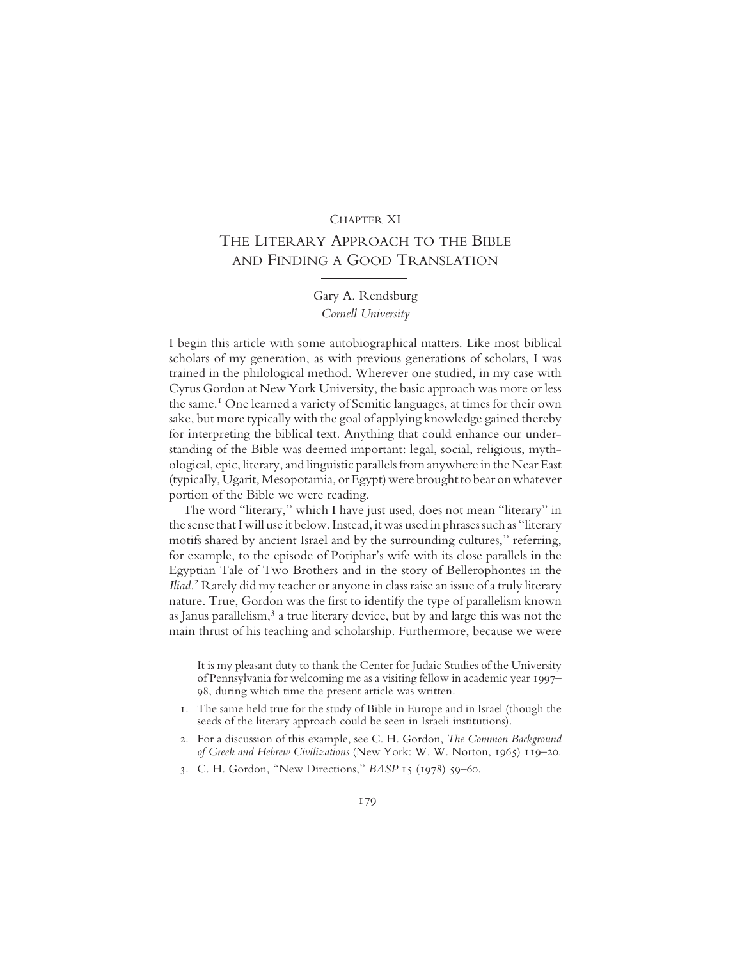### CHAPTER XI

# THE LITERARY APPROACH TO THE BIBLE AND FINDING A GOOD TRANSLATION

## Gary A. Rendsburg Cornell University

I begin this article with some autobiographical matters. Like most biblical scholars of my generation, as with previous generations of scholars, I was trained in the philological method. Wherever one studied, in my case with Cyrus Gordon at New York University, the basic approach was more or less the same.1 One learned a variety of Semitic languages, at times for their own sake, but more typically with the goal of applying knowledge gained thereby for interpreting the biblical text. Anything that could enhance our understanding of the Bible was deemed important: legal, social, religious, mythological, epic, literary, and linguistic parallels from anywhere in the Near East (typically, Ugarit, Mesopotamia, or Egypt) were brought to bear on whatever portion of the Bible we were reading.

The word "literary," which I have just used, does not mean "literary" in the sense that I will use it below. Instead, it was used in phrases such as "literary motifs shared by ancient Israel and by the surrounding cultures," referring, for example, to the episode of Potiphar's wife with its close parallels in the Egyptian Tale of Two Brothers and in the story of Bellerophontes in the Iliad. 2 Rarely did my teacher or anyone in class raise an issue of a truly literary nature. True, Gordon was the first to identify the type of parallelism known as Janus parallelism,<sup>3</sup> a true literary device, but by and large this was not the main thrust of his teaching and scholarship. Furthermore, because we were

It is my pleasant duty to thank the Center for Judaic Studies of the University of Pennsylvania for welcoming me as a visiting fellow in academic year 1997– 98, during which time the present article was written.

<sup>1.</sup> The same held true for the study of Bible in Europe and in Israel (though the seeds of the literary approach could be seen in Israeli institutions).

<sup>2.</sup> For a discussion of this example, see C. H. Gordon, The Common Background of Greek and Hebrew Civilizations (New York: W. W. Norton, 1965) 119–20.

<sup>3.</sup> C. H. Gordon, "New Directions," BASP 15 (1978) 59–60.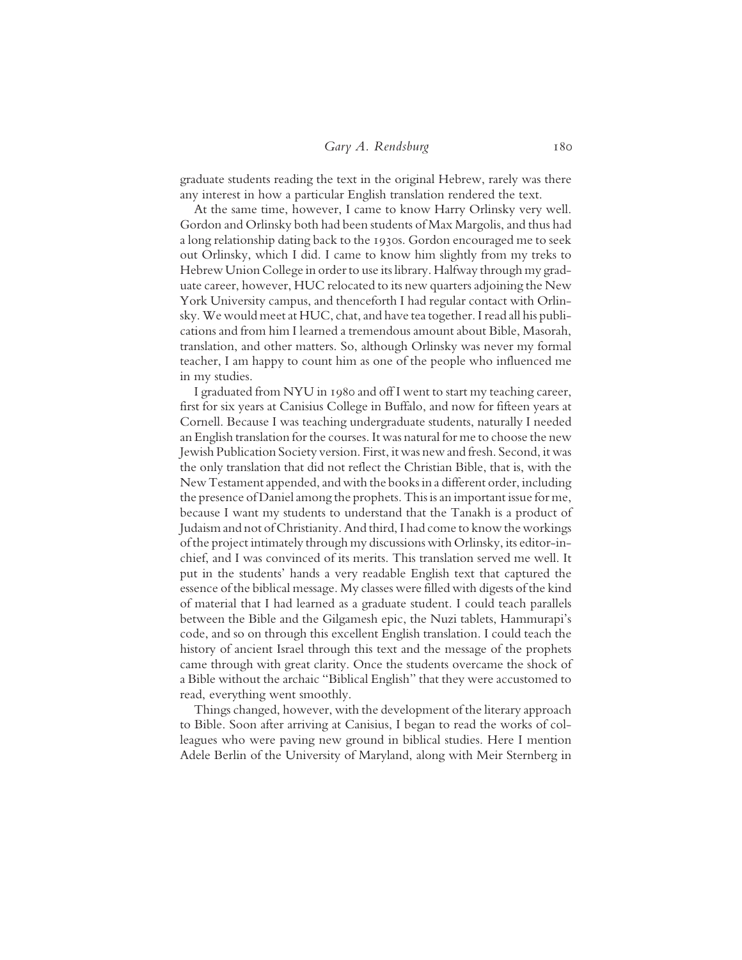#### Gary A. Rendsburg 180

graduate students reading the text in the original Hebrew, rarely was there any interest in how a particular English translation rendered the text.

At the same time, however, I came to know Harry Orlinsky very well. Gordon and Orlinsky both had been students of Max Margolis, and thus had a long relationship dating back to the 1930s. Gordon encouraged me to seek out Orlinsky, which I did. I came to know him slightly from my treks to Hebrew Union College in order to use its library. Halfway through my graduate career, however, HUC relocated to its new quarters adjoining the New York University campus, and thenceforth I had regular contact with Orlinsky. We would meet at HUC, chat, and have tea together. I read all his publications and from him I learned a tremendous amount about Bible, Masorah, translation, and other matters. So, although Orlinsky was never my formal teacher, I am happy to count him as one of the people who influenced me in my studies.

I graduated from NYU in 1980 and off I went to start my teaching career, first for six years at Canisius College in Buffalo, and now for fifteen years at Cornell. Because I was teaching undergraduate students, naturally I needed an English translation for the courses. It was natural for me to choose the new Jewish Publication Society version. First, it was new and fresh. Second, it was the only translation that did not reflect the Christian Bible, that is, with the New Testament appended, and with the books in a different order, including the presence of Daniel among the prophets. This is an important issue for me, because I want my students to understand that the Tanakh is a product of Judaism and not of Christianity. And third, I had come to know the workings of the project intimately through my discussions with Orlinsky, its editor-inchief, and I was convinced of its merits. This translation served me well. It put in the students' hands a very readable English text that captured the essence of the biblical message. My classes were filled with digests of the kind of material that I had learned as a graduate student. I could teach parallels between the Bible and the Gilgamesh epic, the Nuzi tablets, Hammurapi's code, and so on through this excellent English translation. I could teach the history of ancient Israel through this text and the message of the prophets came through with great clarity. Once the students overcame the shock of a Bible without the archaic "Biblical English" that they were accustomed to read, everything went smoothly.

Things changed, however, with the development of the literary approach to Bible. Soon after arriving at Canisius, I began to read the works of colleagues who were paving new ground in biblical studies. Here I mention Adele Berlin of the University of Maryland, along with Meir Sternberg in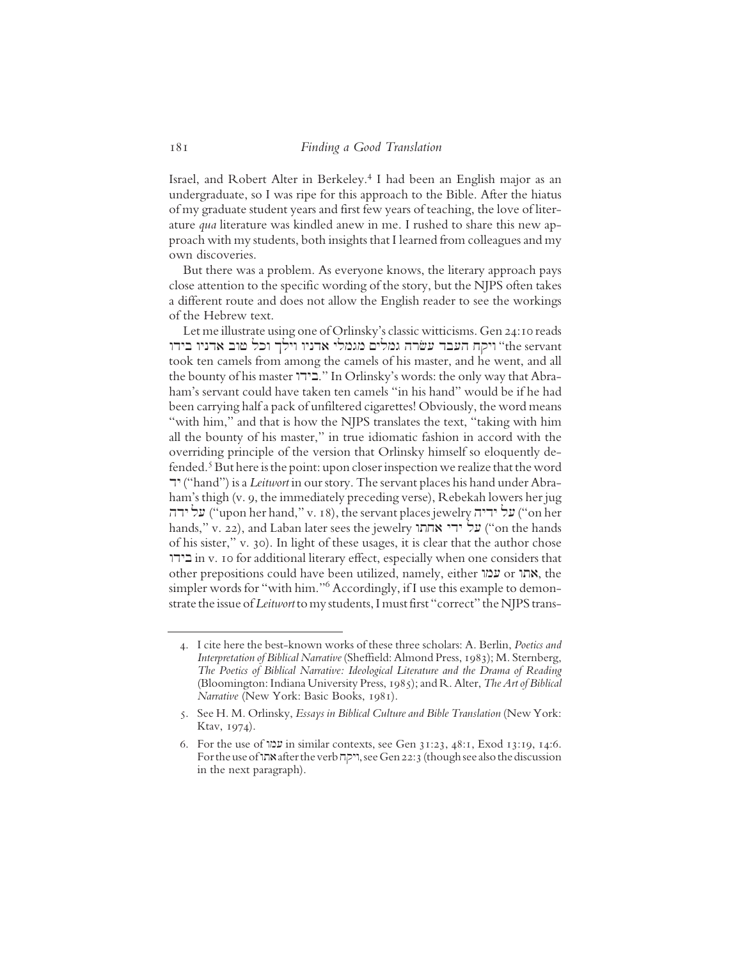Israel, and Robert Alter in Berkeley.<sup>4</sup> I had been an English major as an undergraduate, so I was ripe for this approach to the Bible. After the hiatus of my graduate student years and first few years of teaching, the love of literature qua literature was kindled anew in me. I rushed to share this new approach with my students, both insights that I learned from colleagues and my own discoveries.

But there was a problem. As everyone knows, the literary approach pays close attention to the specific wording of the story, but the NJPS often takes a different route and does not allow the English reader to see the workings of the Hebrew text.

Let me illustrate using one of Orlinsky's classic witticisms. Gen 24:10 reads יוקח העבר עשרה גמלים מגמלי אדניו וילך וכל שוב אדניו בידו "the servant took ten camels from among the camels of his master, and he went, and all the bounty of his master "בידו." In Orlinsky's words: the only way that Abraham's servant could have taken ten camels "in his hand" would be if he had been carrying half a pack of unfiltered cigarettes! Obviously, the word means "with him," and that is how the NJPS translates the text, "taking with him all the bounty of his master," in true idiomatic fashion in accord with the overriding principle of the version that Orlinsky himself so eloquently defended.<sup>5</sup> But here is the point: upon closer inspection we realize that the word dy ("hand") is a Leitwort in our story. The servant places his hand under Abraham's thigh (v. 9, the immediately preceding verse), Rebekah lowers her jug על ידה ("upon her hand," v. 18), the servant places jewelry על ידה ("on her hands," v. 22), and Laban later sees the jewelry על ידי אחתו ("on the hands of his sister," v. 30). In light of these usages, it is clear that the author chose wdyb in v. 10 for additional literary effect, especially when one considers that other prepositions could have been utilized, namely, either אחו ס עמו simpler words for "with him."<sup>6</sup> Accordingly, if I use this example to demonstrate the issue of Leitwort to my students, I must first "correct" the NJPS trans-

<sup>4.</sup> I cite here the best-known works of these three scholars: A. Berlin, Poetics and Interpretation of Biblical Narrative (Sheffield: Almond Press, 1983); M. Sternberg, The Poetics of Biblical Narrative: Ideological Literature and the Drama of Reading (Bloomington: Indiana University Press, 1985); and R. Alter, *The Art of Biblical* Narrative (New York: Basic Books, 1981).

<sup>5.</sup> See H. M. Orlinsky, Essays in Biblical Culture and Bible Translation (New York: Ktav, 1974).

<sup>6.</sup> For the use of  $\mathfrak{w}$  in similar contexts, see Gen 31:23, 48:1, Exod 13:19, 14:6. For the use of היקה after the verb יוקה, see Gen 22:3 (though see also the discussion in the next paragraph).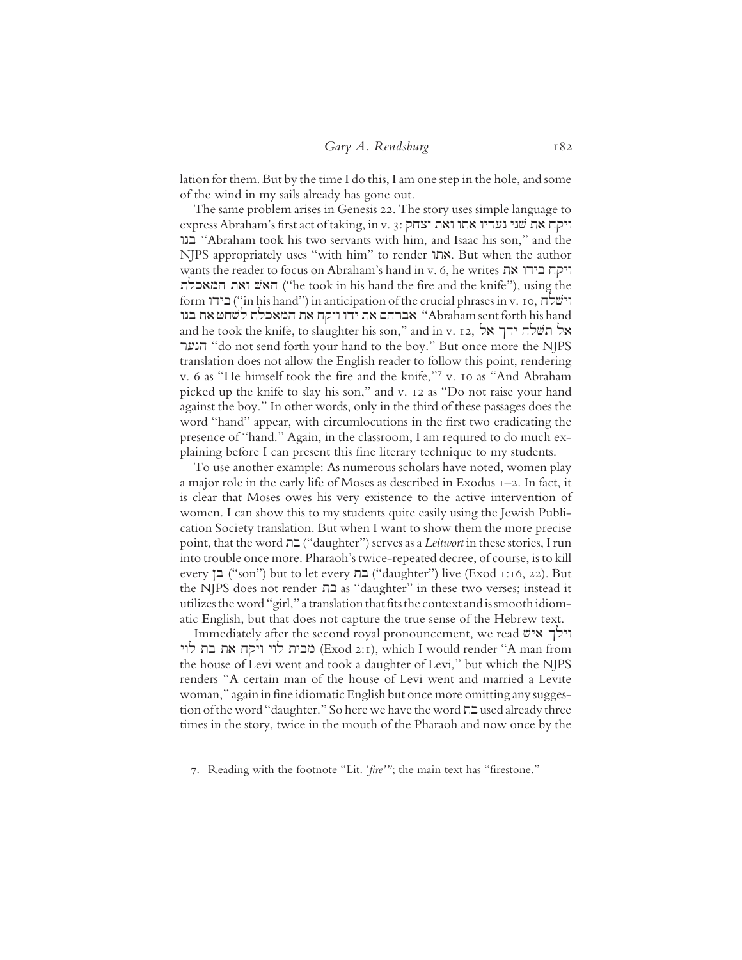lation for them. But by the time I do this, I am one step in the hole, and some of the wind in my sails already has gone out.

The same problem arises in Genesis 22. The story uses simple language to express Abraham's first act of taking, in v. 3: ויקח את שני נעריו אתו ואת יצחק wnb "Abraham took his two servants with him, and Isaac his son," and the NJPS appropriately uses "with him" to render אתו. But when the author wants the reader to focus on Abraham's hand in v. 6, he writes ויקח בידו את המאכלת<br>המאכלת ("he took in his hand the fire and the knife"), using the form ישלה) in anticipation of the crucial phrases in v. 10, וישלח את המאכלת לשחט את בנו "Abraham sent forth his hand and he took the knife, to slaughter his son," and in v. 12, אל תשלח ידך אל ronh "do not send forth your hand to the boy." But once more the NJPS translation does not allow the English reader to follow this point, rendering v. 6 as "He himself took the fire and the knife,"7 v. 10 as "And Abraham picked up the knife to slay his son," and v. 12 as "Do not raise your hand against the boy." In other words, only in the third of these passages does the word "hand" appear, with circumlocutions in the first two eradicating the presence of "hand." Again, in the classroom, I am required to do much explaining before I can present this fine literary technique to my students.

To use another example: As numerous scholars have noted, women play a major role in the early life of Moses as described in Exodus  $I-2$ . In fact, it is clear that Moses owes his very existence to the active intervention of women. I can show this to my students quite easily using the Jewish Publication Society translation. But when I want to show them the more precise point, that the word בת ("daughter") serves as a *Leitwort* in these stories, I run into trouble once more. Pharaoh's twice-repeated decree, of course, is to kill every  $\Xi$  ("son") but to let every  $\Xi$  ("daughter") live (Exod 1:16, 22). But the NJPS does not render בת as "daughter" in these two verses; instead it utilizes the word "girl," a translation that fits the context and is smooth idiomatic English, but that does not capture the true sense of the Hebrew text.

Immediately after the second royal pronouncement, we read יולך איש (Exod 2:1), which I would render "A man from the house of Levi went and took a daughter of Levi," but which the NJPS renders "A certain man of the house of Levi went and married a Levite woman," again in fine idiomatic English but once more omitting any suggestion of the word "daughter." So here we have the word  $\Box$  used already three times in the story, twice in the mouth of the Pharaoh and now once by the

<sup>7.</sup> Reading with the footnote "Lit. 'fire'"; the main text has "firestone."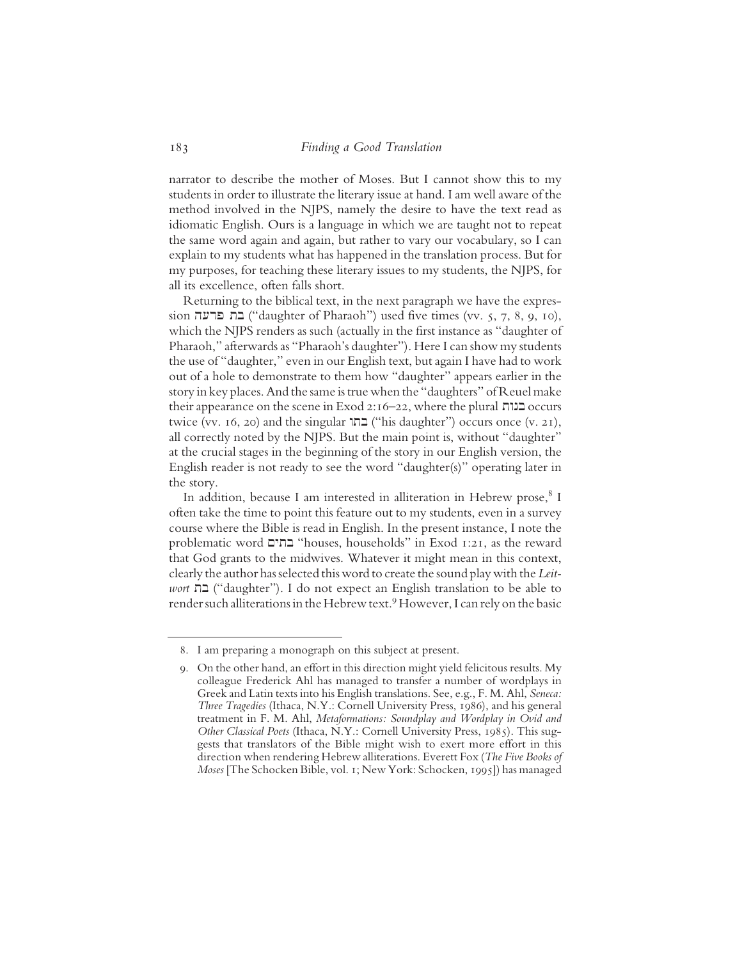narrator to describe the mother of Moses. But I cannot show this to my students in order to illustrate the literary issue at hand. I am well aware of the method involved in the NJPS, namely the desire to have the text read as idiomatic English. Ours is a language in which we are taught not to repeat the same word again and again, but rather to vary our vocabulary, so I can explain to my students what has happened in the translation process. But for my purposes, for teaching these literary issues to my students, the NJPS, for all its excellence, often falls short.

Returning to the biblical text, in the next paragraph we have the expres $s$ בת פרעה ("daughter of Pharaoh") used five times (vv. 5, 7, 8, 9, 10), which the NJPS renders as such (actually in the first instance as "daughter of Pharaoh," afterwards as "Pharaoh's daughter"). Here I can show my students the use of "daughter," even in our English text, but again I have had to work out of a hole to demonstrate to them how "daughter" appears earlier in the story in key places. And the same is true when the "daughters" of Reuel make their appearance on the scene in Exod 2:16–22, where the plural  $\alpha$ כנות occurs twice (vv. 16, 20) and the singular  $\Box$  ("his daughter") occurs once (v. 21), all correctly noted by the NJPS. But the main point is, without "daughter" at the crucial stages in the beginning of the story in our English version, the English reader is not ready to see the word "daughter(s)" operating later in the story.

In addition, because I am interested in alliteration in Hebrew prose, <sup>8</sup> I often take the time to point this feature out to my students, even in a survey course where the Bible is read in English. In the present instance, I note the problematic word Mytb "houses, households" in Exod 1:21, as the reward that God grants to the midwives. Whatever it might mean in this context, clearly the author has selected this word to create the sound play with the Leitwort  $\Box$  ("daughter"). I do not expect an English translation to be able to render such alliterations in the Hebrew text.<sup>9</sup> However, I can rely on the basic

<sup>8.</sup> I am preparing a monograph on this subject at present.

<sup>9.</sup> On the other hand, an effort in this direction might yield felicitous results. My colleague Frederick Ahl has managed to transfer a number of wordplays in Greek and Latin texts into his English translations. See, e.g., F. M. Ahl, Seneca: Three Tragedies (Ithaca, N.Y.: Cornell University Press, 1986), and his general treatment in F. M. Ahl, Metaformations: Soundplay and Wordplay in Ovid and Other Classical Poets (Ithaca, N.Y.: Cornell University Press, 1985). This suggests that translators of the Bible might wish to exert more effort in this direction when rendering Hebrew alliterations. Everett Fox (The Five Books of Moses [The Schocken Bible, vol. 1; New York: Schocken, 1995]) has managed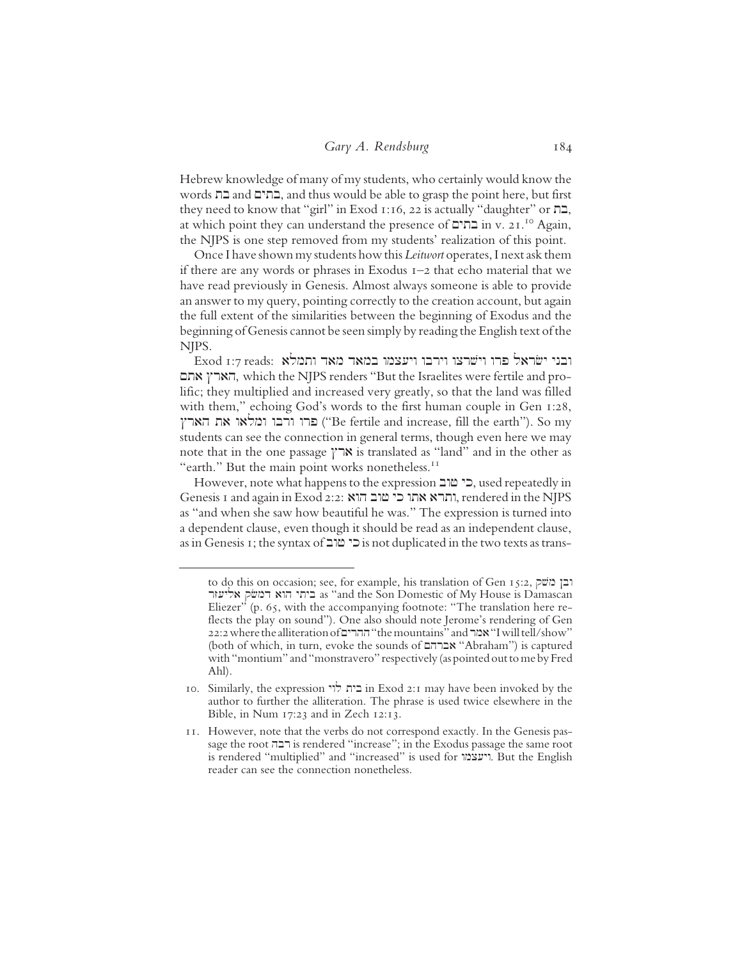Hebrew knowledge of many of my students, who certainly would know the words בתים, and thus would be able to grasp the point here, but first they need to know that "girl" in Exod 1:16, 22 is actually "daughter" or  $n=$ , at which point they can understand the presence of  $\Box$ in v. 21.<sup>10</sup> Again, the NJPS is one step removed from my students' realization of this point.

Once I have shown my students how this Leitwort operates, I next ask them if there are any words or phrases in Exodus 1–2 that echo material that we have read previously in Genesis. Almost always someone is able to provide an answer to my query, pointing correctly to the creation account, but again the full extent of the similarities between the beginning of Exodus and the beginning of Genesis cannot be seen simply by reading the English text of the NJPS.

Exod 1:7 reads: ובני ישראל פרו וישרצו וירבו ויעצמו במאד מאד ותמלא הארץ אתם, which the NJPS renders "But the Israelites were fertile and prolific; they multiplied and increased very greatly, so that the land was filled with them," echoing God's words to the first human couple in Gen 1:28, Xrah ta walmw wbrw wrp ("Be fertile and increase, fill the earth"). So my students can see the connection in general terms, though even here we may note that in the one passage  $\gamma \rightarrow \kappa$  is translated as "land" and in the other as "earth." But the main point works nonetheless.<sup>11</sup>

However, note what happens to the expression כי מוב, used repeatedly in Genesis 1 and again in Exod 2:2: הרא אתו כי שוב הוא , rendered in the NJPS as "and when she saw how beautiful he was." The expression is turned into a dependent clause, even though it should be read as an independent clause, as in Genesis 1; the syntax of בי מוב is not duplicated in the two texts as trans-

to do this on occasion; see, for example, his translation of Gen 15:2, יבן משל, אליעזר <br/>as "and the Son Domestic of My House is Damascan Eliezer" (p.  $65$ , with the accompanying footnote: "The translation here reflects the play on sound"). One also should note Jerome's rendering of Gen 22:2 where the alliteration of ההרים "the mountains" and "מבו "I will tell/show" (both of which, in turn, evoke the sounds of אברהם "Abraham") is captured with "montium" and "monstravero" respectively (as pointed out to me by Fred Ahl).

<sup>10.</sup> Similarly, the expression בית לוי in Exod 2:1 may have been invoked by the author to further the alliteration. The phrase is used twice elsewhere in the Bible, in Num 17:23 and in Zech 12:13.

<sup>11.</sup> However, note that the verbs do not correspond exactly. In the Genesis passage the root רבה is rendered "increase"; in the Exodus passage the same root is rendered "multiplied" and "increased" is used for ויעצמו. But the English reader can see the connection nonetheless.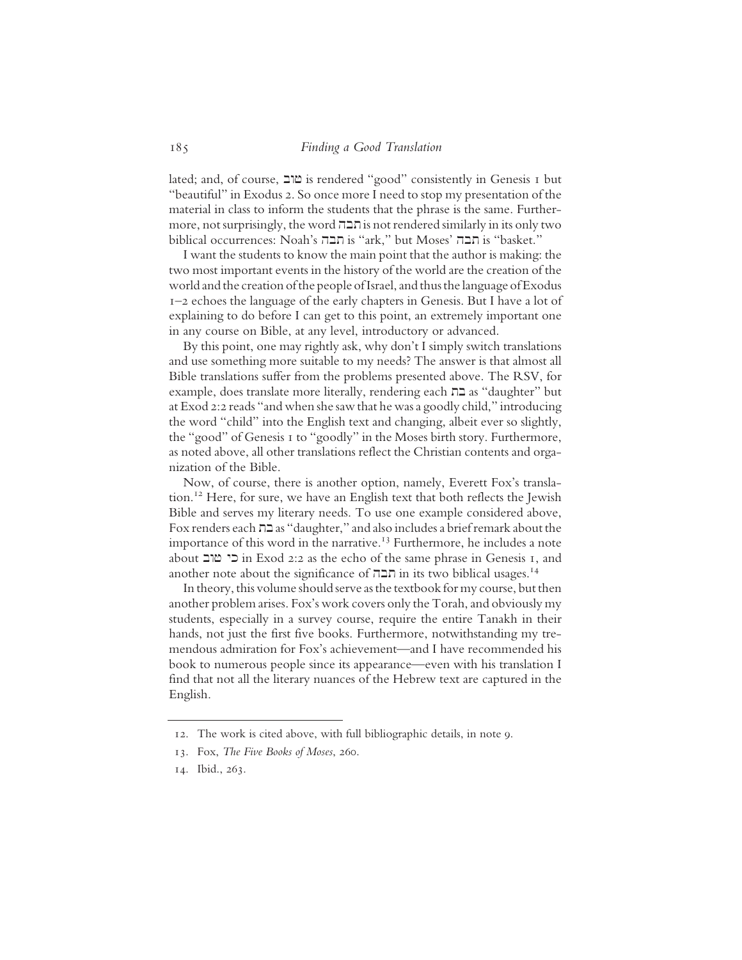lated; and, of course, bwf is rendered "good" consistently in Genesis 1 but "beautiful" in Exodus 2. So once more I need to stop my presentation of the material in class to inform the students that the phrase is the same. Further $m$ ore, not surprisingly, the word  $n \in \mathbb{Z}$  is not rendered similarly in its only two biblical occurrences: Noah's חבה is "ark," but Moses' n

I want the students to know the main point that the author is making: the two most important events in the history of the world are the creation of the world and the creation of the people of Israel, and thus the language of Exodus 1–2 echoes the language of the early chapters in Genesis. But I have a lot of explaining to do before I can get to this point, an extremely important one in any course on Bible, at any level, introductory or advanced.

By this point, one may rightly ask, why don't I simply switch translations and use something more suitable to my needs? The answer is that almost all Bible translations suffer from the problems presented above. The RSV, for example, does translate more literally, rendering each בת as "daughter" but at Exod 2:2 reads "and when she saw that he was a goodly child," introducing the word "child" into the English text and changing, albeit ever so slightly, the "good" of Genesis 1 to "goodly" in the Moses birth story. Furthermore, as noted above, all other translations reflect the Christian contents and organization of the Bible.

Now, of course, there is another option, namely, Everett Fox's translation.12 Here, for sure, we have an English text that both reflects the Jewish Bible and serves my literary needs. To use one example considered above, Fox renders each tb as "daughter," and also includes a brief remark about the importance of this word in the narrative.<sup>13</sup> Furthermore, he includes a note about כי  $\frac{m}{2}$ in Exod 2:2 as the echo of the same phrase in Genesis 1, and another note about the significance of חבה in its two biblical usages.<sup>14</sup>

In theory, this volume should serve as the textbook for my course, but then another problem arises. Fox's work covers only the Torah, and obviously my students, especially in a survey course, require the entire Tanakh in their hands, not just the first five books. Furthermore, notwithstanding my tremendous admiration for Fox's achievement—and I have recommended his book to numerous people since its appearance—even with his translation I find that not all the literary nuances of the Hebrew text are captured in the English.

<sup>12.</sup> The work is cited above, with full bibliographic details, in note 9.

<sup>13.</sup> Fox, The Five Books of Moses, 260.

<sup>14.</sup> Ibid., 263.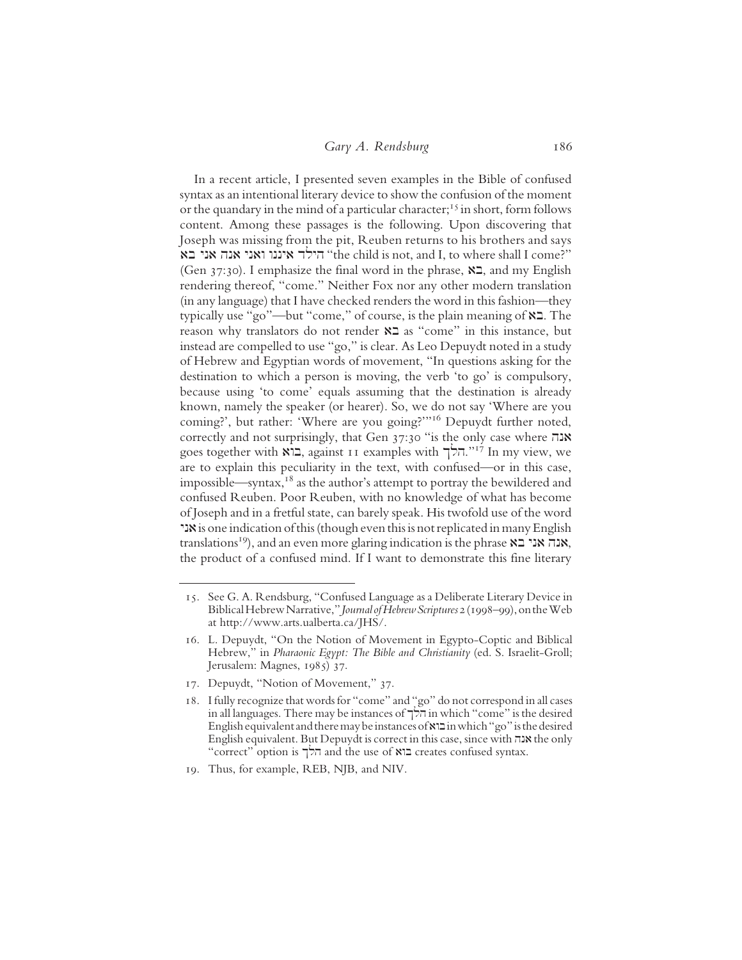#### Gary A. Rendsburg 186

In a recent article, I presented seven examples in the Bible of confused syntax as an intentional literary device to show the confusion of the moment or the quandary in the mind of a particular character;<sup>15</sup> in short, form follows content. Among these passages is the following. Upon discovering that Joseph was missing from the pit, Reuben returns to his brothers and says הילד איננו ואני אנה אני בא "the child is not, and I, to where shall I come?" (Gen 37:30). I emphasize the final word in the phrase,  $\mathbb{Z}$ , and my English rendering thereof, "come." Neither Fox nor any other modern translation (in any language) that I have checked renders the word in this fashion—they typically use "go"—but "come," of course, is the plain meaning of  $\aleph 2$ . The reason why translators do not render  $\aleph 2$  as "come" in this instance, but instead are compelled to use "go," is clear. As Leo Depuydt noted in a study of Hebrew and Egyptian words of movement, "In questions asking for the destination to which a person is moving, the verb 'to go' is compulsory, because using 'to come' equals assuming that the destination is already known, namely the speaker (or hearer). So, we do not say 'Where are you coming?', but rather: 'Where are you going?'"16 Depuydt further noted, correctly and not surprisingly, that Gen  $37:30$  "is the only case where  $\pi$ אנה goes together with  $\Xi$ , against 11 examples with הלך."<sup>17</sup> In my view, we are to explain this peculiarity in the text, with confused—or in this case, impossible—syntax, $18$  as the author's attempt to portray the bewildered and confused Reuben. Poor Reuben, with no knowledge of what has become of Joseph and in a fretful state, can barely speak. His twofold use of the word yna is one indication of this (though even this is not replicated in many English translations<sup>19</sup>), and an even more glaring indication is the phrase **AU אנה אני בא**, the product of a confused mind. If I want to demonstrate this fine literary

<sup>15.</sup> See G. A. Rendsburg, "Confused Language as a Deliberate Literary Device in Biblical Hebrew Narrative," Journal of Hebrew Scriptures 2 (1998–99), on the Web at http://www.arts.ualberta.ca/JHS/.

<sup>16.</sup> L. Depuydt, "On the Notion of Movement in Egypto-Coptic and Biblical Hebrew," in Pharaonic Egypt: The Bible and Christianity (ed. S. Israelit-Groll; Jerusalem: Magnes, 1985) 37.

<sup>17.</sup> Depuydt, "Notion of Movement," 37.

<sup>18.</sup> I fully recognize that words for "come" and "go" do not correspond in all cases in all languages. There may be instances of Klh in which "come" is the desired English equivalent and there may be instances of  $x \equiv$  in which "go" is the desired English equivalent. But Depuydt is correct in this case, since with אנה the only "correct" option is הלך and the use of  $\mathbb{R}$ בוא creates confused syntax.

<sup>19.</sup> Thus, for example, REB, NJB, and NIV.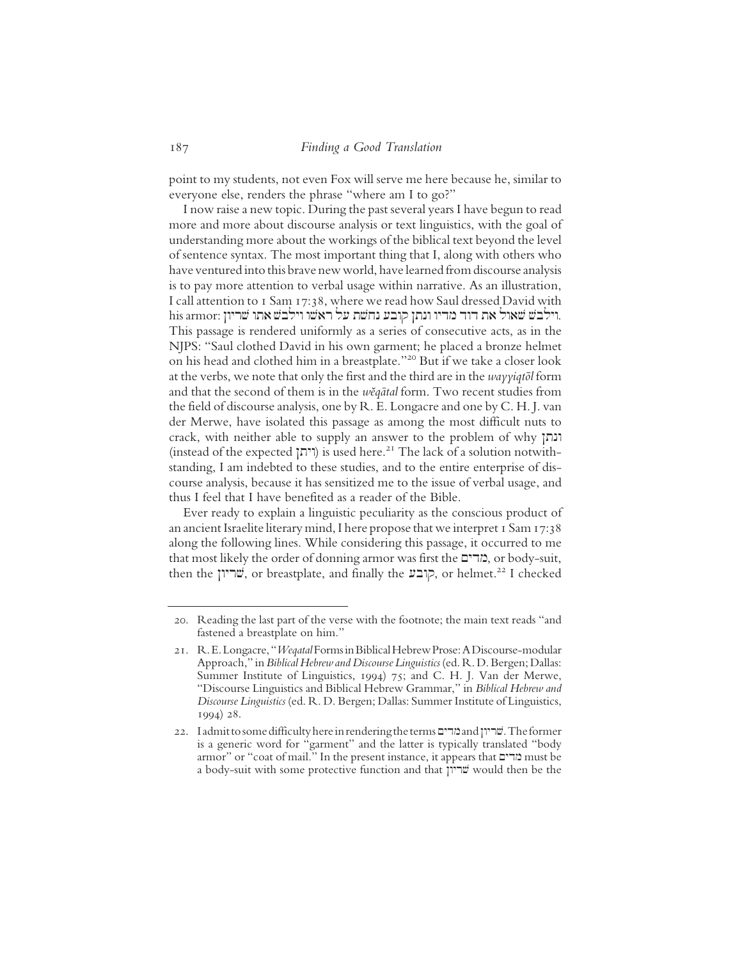point to my students, not even Fox will serve me here because he, similar to everyone else, renders the phrase "where am I to go?"

I now raise a new topic. During the past several years I have begun to read more and more about discourse analysis or text linguistics, with the goal of understanding more about the workings of the biblical text beyond the level of sentence syntax. The most important thing that I, along with others who have ventured into this brave new world, have learned from discourse analysis is to pay more attention to verbal usage within narrative. As an illustration, I call attention to 1 Sam 17:38, where we read how Saul dressed David with his armor: וילבש אתו שריון. his armor: וילבש אתו הילבש את This passage is rendered uniformly as a series of consecutive acts, as in the NJPS: "Saul clothed David in his own garment; he placed a bronze helmet on his head and clothed him in a breastplate."20 But if we take a closer look at the verbs, we note that only the first and the third are in the wayyiqtol form and that the second of them is in the wĕqātal form. Two recent studies from the field of discourse analysis, one by R. E. Longacre and one by C. H. J. van der Merwe, have isolated this passage as among the most difficult nuts to crack, with neither able to supply an answer to the problem of why ונתן (instead of the expected (יהן) is used here.<sup>21</sup> The lack of a solution notwithstanding, I am indebted to these studies, and to the entire enterprise of discourse analysis, because it has sensitized me to the issue of verbal usage, and thus I feel that I have benefited as a reader of the Bible.

Ever ready to explain a linguistic peculiarity as the conscious product of an ancient Israelite literary mind, I here propose that we interpret 1 Sam 17:38 along the following lines. While considering this passage, it occurred to me that most likely the order of donning armor was first the מדים, or body-suit, then the קובע, or breastplate, and finally the קובע, or helmet.<sup>22</sup> I checked

<sup>20.</sup> Reading the last part of the verse with the footnote; the main text reads "and fastened a breastplate on him."

<sup>21.</sup> R. E. Longacre, "Weqatal Forms in Biblical Hebrew Prose: A Discourse-modular Approach," in Biblical Hebrew and Discourse Linguistics (ed. R. D. Bergen; Dallas: Summer Institute of Linguistics, 1994) 75; and C. H. J. Van der Merwe, "Discourse Linguistics and Biblical Hebrew Grammar," in Biblical Hebrew and Discourse Linguistics (ed. R. D. Bergen; Dallas: Summer Institute of Linguistics, 1994) 28.

<sup>22.</sup> I admit to some difficulty here in rendering the terms שריון and "מריון. The former is a generic word for "garment" and the latter is typically translated "body armor" or "coat of mail." In the present instance, it appears that מדים must be a body-suit with some protective function and that Nwyrv would then be the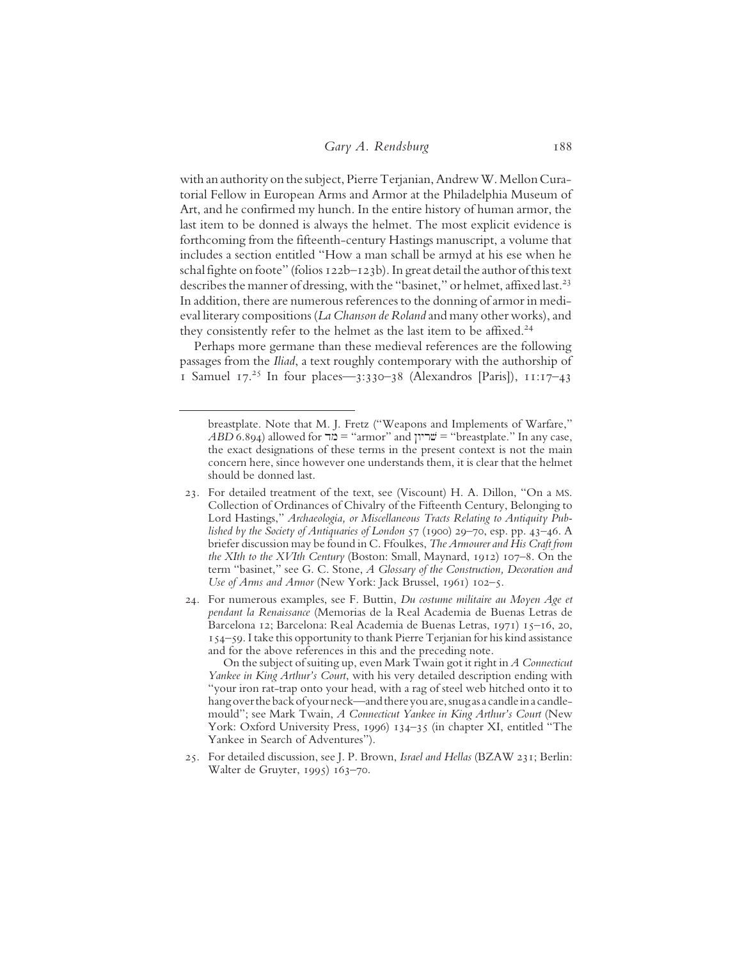with an authority on the subject, Pierre Terjanian, Andrew W. Mellon Curatorial Fellow in European Arms and Armor at the Philadelphia Museum of Art, and he confirmed my hunch. In the entire history of human armor, the last item to be donned is always the helmet. The most explicit evidence is forthcoming from the fifteenth-century Hastings manuscript, a volume that includes a section entitled "How a man schall be armyd at his ese when he schal fighte on foote" (folios 122b–123b). In great detail the author of this text describes the manner of dressing, with the "basinet," or helmet, affixed last.<sup>23</sup> In addition, there are numerous references to the donning of armor in medieval literary compositions (La Chanson de Roland and many other works), and they consistently refer to the helmet as the last item to be affixed.<sup>24</sup>

Perhaps more germane than these medieval references are the following passages from the Iliad, a text roughly contemporary with the authorship of 1 Samuel 17.<sup>25</sup> In four places—3:330-38 (Alexandros [Paris]), 11:17-43

On the subject of suiting up, even Mark Twain got it right in A Connecticut Yankee in King Arthur's Court, with his very detailed description ending with "your iron rat-trap onto your head, with a rag of steel web hitched onto it to hang over the back of your neck—and there you are, snug as a candle in a candlemould"; see Mark Twain, A Connecticut Yankee in King Arthur's Court (New York: Oxford University Press, 1996) 134–35 (in chapter XI, entitled "The Yankee in Search of Adventures").

breastplate. Note that M. J. Fretz ("Weapons and Implements of Warfare,"  $ABD$  6.894) allowed for  $\exists \mathbf{c} = \text{``armor''}$  and  $\exists \mathbf{w} = \text{``breakplate."}$  In any case, the exact designations of these terms in the present context is not the main concern here, since however one understands them, it is clear that the helmet should be donned last.

<sup>23.</sup> For detailed treatment of the text, see (Viscount) H. A. Dillon, "On a MS. Collection of Ordinances of Chivalry of the Fifteenth Century, Belonging to Lord Hastings," Archaeologia, or Miscellaneous Tracts Relating to Antiquity Published by the Society of Antiquaries of London 57 (1900) 29–70, esp. pp. 43–46. A briefer discussion may be found in C. Ffoulkes, The Armourer and His Craft from the XIth to the XVIth Century (Boston: Small, Maynard, 1912) 107–8. On the term "basinet," see G. C. Stone, A Glossary of the Construction, Decoration and Use of Arms and Armor (New York: Jack Brussel, 1961) 102–5.

<sup>24.</sup> For numerous examples, see F. Buttin, Du costume militaire au Moyen Age et pendant la Renaissance (Memorias de la Real Academia de Buenas Letras de Barcelona 12; Barcelona: Real Academia de Buenas Letras, 1971) 15–16, 20, 154–59. I take this opportunity to thank Pierre Terjanian for his kind assistance and for the above references in this and the preceding note.

<sup>25.</sup> For detailed discussion, see J. P. Brown, Israel and Hellas (BZAW 231; Berlin: Walter de Gruyter, 1995) 163–70.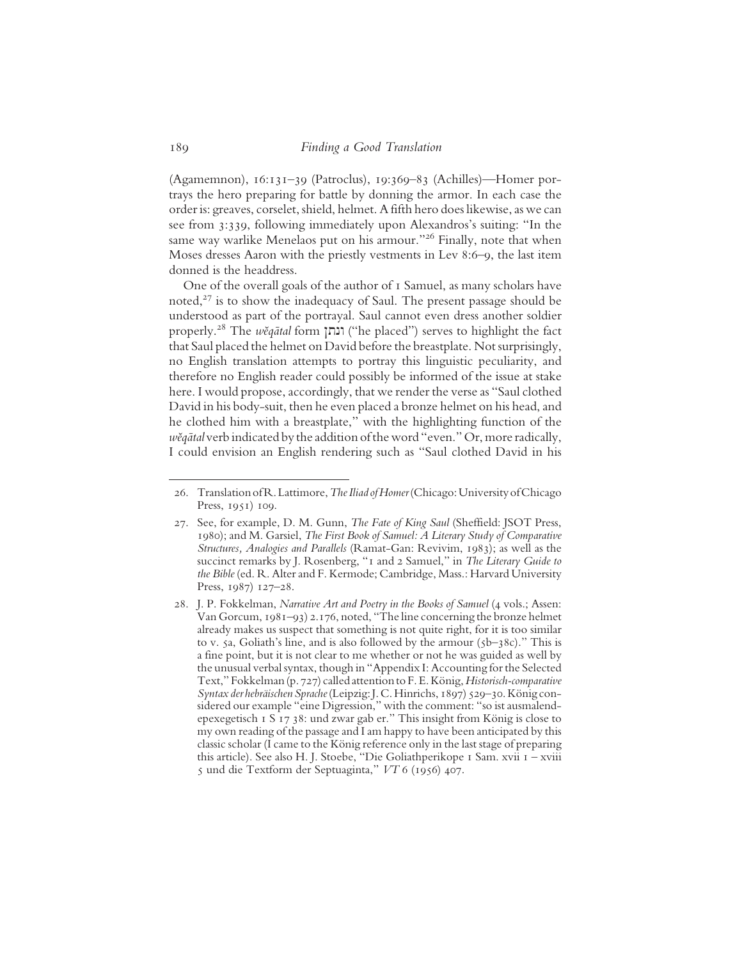(Agamemnon), 16:131–39 (Patroclus), 19:369–83 (Achilles)—Homer portrays the hero preparing for battle by donning the armor. In each case the order is: greaves, corselet, shield, helmet. A fifth hero does likewise, as we can see from 3:339, following immediately upon Alexandros's suiting: "In the same way warlike Menelaos put on his armour."<sup>26</sup> Finally, note that when Moses dresses Aaron with the priestly vestments in Lev 8:6–9, the last item donned is the headdress.

One of the overall goals of the author of 1 Samuel, as many scholars have noted,<sup>27</sup> is to show the inadequacy of Saul. The present passage should be understood as part of the portrayal. Saul cannot even dress another soldier properly.<sup>28</sup> The *wĕqātal* form ונתן ("he placed") serves to highlight the fact that Saul placed the helmet on David before the breastplate. Not surprisingly, no English translation attempts to portray this linguistic peculiarity, and therefore no English reader could possibly be informed of the issue at stake here. I would propose, accordingly, that we render the verse as "Saul clothed David in his body-suit, then he even placed a bronze helmet on his head, and he clothed him with a breastplate," with the highlighting function of the wěqātal verb indicated by the addition of the word "even." Or, more radically, I could envision an English rendering such as "Saul clothed David in his

<sup>26.</sup> Translation of R. Lattimore, The Iliad of Homer (Chicago: University of Chicago Press, 1951) 109.

<sup>27.</sup> See, for example, D. M. Gunn, The Fate of King Saul (Sheffield: JSOT Press, 1980); and M. Garsiel, The First Book of Samuel: A Literary Study of Comparative Structures, Analogies and Parallels (Ramat-Gan: Revivim, 1983); as well as the succinct remarks by J. Rosenberg, "1 and 2 Samuel," in The Literary Guide to the Bible (ed. R. Alter and F. Kermode; Cambridge, Mass.: Harvard University Press, 1987) 127–28.

<sup>28.</sup> J. P. Fokkelman, Narrative Art and Poetry in the Books of Samuel (4 vols.; Assen: Van Gorcum, 1981–93) 2.176, noted, "The line concerning the bronze helmet already makes us suspect that something is not quite right, for it is too similar to v. 5a, Goliath's line, and is also followed by the armour  $(5b-38c)$ ." This is a fine point, but it is not clear to me whether or not he was guided as well by the unusual verbal syntax, though in "Appendix I: Accounting for the Selected Text," Fokkelman (p. 727) called attention to F. E. König, Historisch-comparative Syntax der hebräischen Sprache(Leipzig: J. C. Hinrichs, 1897) 529–30. König considered our example "eine Digression," with the comment: "so ist ausmalendepexegetisch 1 S 17 38: und zwar gab er." This insight from König is close to my own reading of the passage and I am happy to have been anticipated by this classic scholar (I came to the König reference only in the last stage of preparing this article). See also H. J. Stoebe, "Die Goliathperikope 1 Sam. xvii 1 – xviii 5 und die Textform der Septuaginta," VT 6 (1956) 407.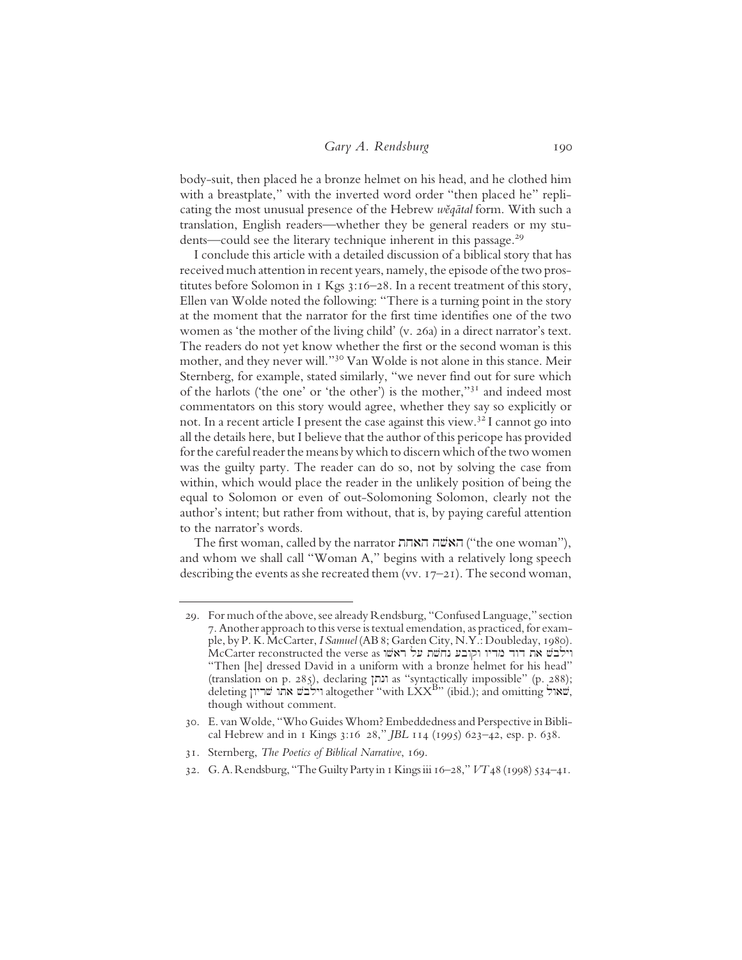body-suit, then placed he a bronze helmet on his head, and he clothed him with a breastplate," with the inverted word order "then placed he" replicating the most unusual presence of the Hebrew wĕqātal form. With such a translation, English readers—whether they be general readers or my students—could see the literary technique inherent in this passage.<sup>29</sup>

I conclude this article with a detailed discussion of a biblical story that has received much attention in recent years, namely, the episode of the two prostitutes before Solomon in 1 Kgs 3:16–28. In a recent treatment of this story, Ellen van Wolde noted the following: "There is a turning point in the story at the moment that the narrator for the first time identifies one of the two women as 'the mother of the living child' (v. 26a) in a direct narrator's text. The readers do not yet know whether the first or the second woman is this mother, and they never will."30 Van Wolde is not alone in this stance. Meir Sternberg, for example, stated similarly, "we never find out for sure which of the harlots ('the one' or 'the other') is the mother,"31 and indeed most commentators on this story would agree, whether they say so explicitly or not. In a recent article I present the case against this view.32 I cannot go into all the details here, but I believe that the author of this pericope has provided for the careful reader the means by which to discern which of the two women was the guilty party. The reader can do so, not by solving the case from within, which would place the reader in the unlikely position of being the equal to Solomon or even of out-Solomoning Solomon, clearly not the author's intent; but rather from without, that is, by paying careful attention to the narrator's words.

The first woman, called by the narrator האחת ("the one woman"), and whom we shall call "Woman A," begins with a relatively long speech describing the events as she recreated them (vv.  $17-21$ ). The second woman,

<sup>29.</sup> For much of the above, see already Rendsburg, "Confused Language," section 7. Another approach to this verse is textual emendation, as practiced, for example, by P. K. McCarter, I Samuel (AB 8; Garden City, N.Y.: Doubleday, 1980). McCarter reconstructed the verse as וילבש את רוד מדיו וקובע נחשת על "Then [he] dressed David in a uniform with a bronze helmet for his head" (translation on p. 285), declaring ונתן as "syntactically impossible" (p. 288);  $\det$ שריון שריון altogether "with LXX $^{\rm B}$ " (ibid.); and omitting lwav, though without comment.

<sup>30.</sup> E. van Wolde, "Who Guides Whom? Embeddedness and Perspective in Biblical Hebrew and in 1 Kings 3:16 28," JBL 114 (1995) 623–42, esp. p. 638.

<sup>31.</sup> Sternberg, The Poetics of Biblical Narrative, 169.

<sup>32.</sup> G. A. Rendsburg, "The Guilty Party in 1 Kings iii 16–28," VT 48 (1998) 534–41.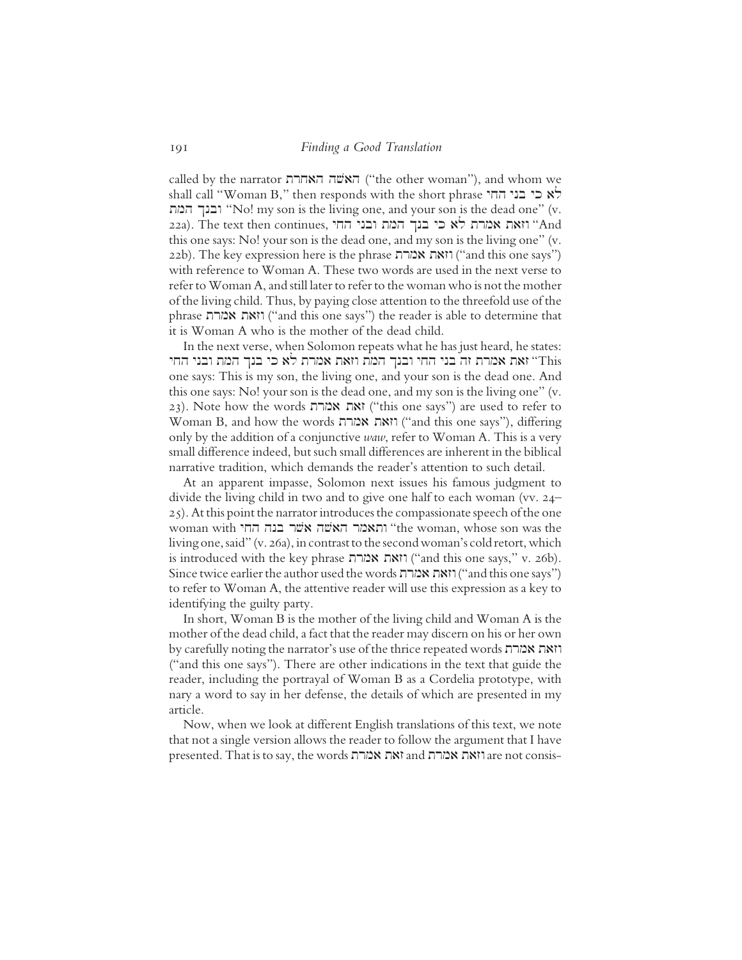called by the narrator האחרת ("the other woman"), and whom we shall call "Woman B," then responds with the short phrase  $\forall x \in \mathbb{R}$  לא כי בני החי tmh Knbw "No! my son is the living one, and your son is the dead one" (v. 22a). The text then continues, ובני החי בנך המת כי בנך אמרת "And this one says: No! your son is the dead one, and my son is the living one" (v. 22b). The key expression here is the phrase ו"and this one says") with reference to Woman A. These two words are used in the next verse to refer to Woman A, and still later to refer to the woman who is not the mother of the living child. Thus, by paying close attention to the threefold use of the phrase trma tazw ("and this one says") the reader is able to determine that it is Woman A who is the mother of the dead child.

In the next verse, when Solomon repeats what he has just heard, he states: יאת אמרת זה בני החי ובנך המת וזאת אמרת לא כי בנך המת ובני החי trhis one says: This is my son, the living one, and your son is the dead one. And this one says: No! your son is the dead one, and my son is the living one" (v. 23). Note how the words ואת אמרת ("this one says") are used to refer to Woman B, and how the words וזאת אמרת ("and this one says"), differing only by the addition of a conjunctive waw, refer to Woman A. This is a very small difference indeed, but such small differences are inherent in the biblical narrative tradition, which demands the reader's attention to such detail.

At an apparent impasse, Solomon next issues his famous judgment to divide the living child in two and to give one half to each woman (vv. 24– 25). At this point the narrator introduces the compassionate speech of the one woman with והאמר האשה אשר בנה החי $\cdot$  "the woman, whose son was the living one, said" (v. 26a), in contrast to the second woman's cold retort, which is introduced with the key phrase וואת אמרה ("and this one says," v. 26b). Since twice earlier the author used the words וזאת אמרת ("and this one says") to refer to Woman A, the attentive reader will use this expression as a key to identifying the guilty party.

In short, Woman B is the mother of the living child and Woman A is the mother of the dead child, a fact that the reader may discern on his or her own by carefully noting the narrator's use of the thrice repeated words וואת אמרת ("and this one says"). There are other indications in the text that guide the reader, including the portrayal of Woman B as a Cordelia prototype, with nary a word to say in her defense, the details of which are presented in my article.

Now, when we look at different English translations of this text, we note that not a single version allows the reader to follow the argument that I have presented. That is to say, the words ואת אמרת and ממרח tresented. That is to say, the words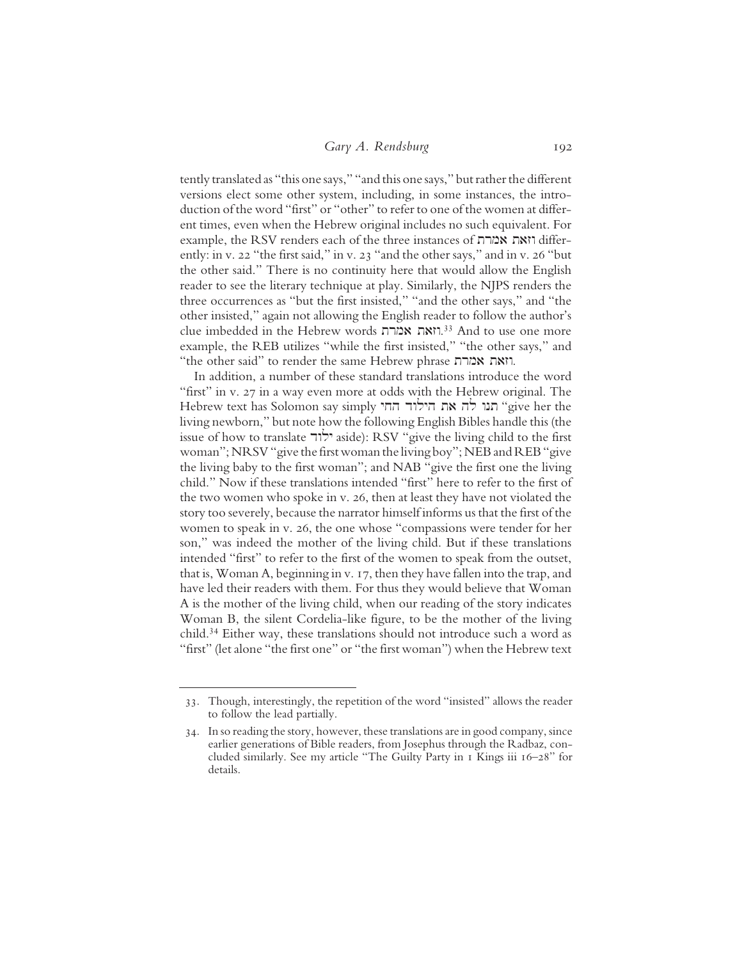tently translated as "this one says," "and this one says," but rather the different versions elect some other system, including, in some instances, the introduction of the word "first" or "other" to refer to one of the women at different times, even when the Hebrew original includes no such equivalent. For example, the RSV renders each of the three instances of וזאת אמרת ently: in v. 22 "the first said," in v. 23 "and the other says," and in v. 26 "but the other said." There is no continuity here that would allow the English reader to see the literary technique at play. Similarly, the NJPS renders the three occurrences as "but the first insisted," "and the other says," and "the other insisted," again not allowing the English reader to follow the author's clue imbedded in the Hebrew words וואת אמרת.<sup>33</sup> And to use one more example, the REB utilizes "while the first insisted," "the other says," and "the other said" to render the same Hebrew phrase וואת אמרת.

In addition, a number of these standard translations introduce the word "first" in v. 27 in a way even more at odds with the Hebrew original. The Hebrew text has Solomon say simply תנו לה את הילוד החי living newborn," but note how the following English Bibles handle this (the issue of how to translate  $\vec{r}$ ולוד aside): RSV "give the living child to the first woman"; NRSV "give the first woman the living boy"; NEB and REB "give the living baby to the first woman"; and NAB "give the first one the living child." Now if these translations intended "first" here to refer to the first of the two women who spoke in v. 26, then at least they have not violated the story too severely, because the narrator himself informs us that the first of the women to speak in v. 26, the one whose "compassions were tender for her son," was indeed the mother of the living child. But if these translations intended "first" to refer to the first of the women to speak from the outset, that is, Woman A, beginning in v. 17, then they have fallen into the trap, and have led their readers with them. For thus they would believe that Woman A is the mother of the living child, when our reading of the story indicates Woman B, the silent Cordelia-like figure, to be the mother of the living child.34 Either way, these translations should not introduce such a word as "first" (let alone "the first one" or "the first woman") when the Hebrew text

<sup>33.</sup> Though, interestingly, the repetition of the word "insisted" allows the reader to follow the lead partially.

<sup>34.</sup> In so reading the story, however, these translations are in good company, since earlier generations of Bible readers, from Josephus through the Radbaz, concluded similarly. See my article "The Guilty Party in 1 Kings iii 16–28" for details.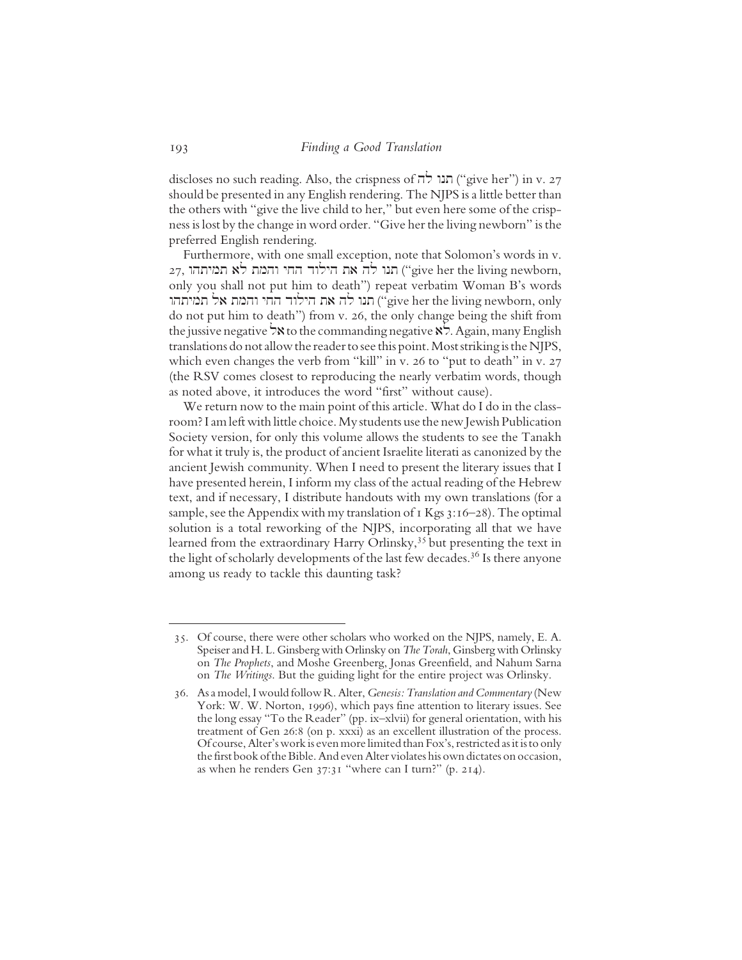discloses no such reading. Also, the crispness of  $\pi$ חנו ("give her") in v. 27 should be presented in any English rendering. The NJPS is a little better than the others with "give the live child to her," but even here some of the crispness is lost by the change in word order. "Give her the living newborn" is the preferred English rendering.

Furthermore, with one small exception, note that Solomon's words in v.  $27$ , חנו לה את הילוד החי והמת לא תמיתהו ("give her the living newborn, only you shall not put him to death") repeat verbatim Woman B's words yive her the living newborn, only מנו לה את הילוד החי והמת אל תמיתהו do not put him to death") from v. 26, the only change being the shift from the jussive negative  $\forall$ **x** to the commanding negative  $\forall$ . Again, many English translations do not allow the reader to see this point. Most striking is the NJPS, which even changes the verb from "kill" in v. 26 to "put to death" in v. 27 (the RSV comes closest to reproducing the nearly verbatim words, though as noted above, it introduces the word "first" without cause).

We return now to the main point of this article. What do I do in the classroom? I am left with little choice. My students use the new Jewish Publication Society version, for only this volume allows the students to see the Tanakh for what it truly is, the product of ancient Israelite literati as canonized by the ancient Jewish community. When I need to present the literary issues that I have presented herein, I inform my class of the actual reading of the Hebrew text, and if necessary, I distribute handouts with my own translations (for a sample, see the Appendix with my translation of 1 Kgs 3:16-28). The optimal solution is a total reworking of the NJPS, incorporating all that we have learned from the extraordinary Harry Orlinsky,<sup>35</sup> but presenting the text in the light of scholarly developments of the last few decades.<sup>36</sup> Is there anyone among us ready to tackle this daunting task?

<sup>35.</sup> Of course, there were other scholars who worked on the NJPS, namely, E. A. Speiser and H. L. Ginsberg with Orlinsky on The Torah, Ginsberg with Orlinsky on The Prophets, and Moshe Greenberg, Jonas Greenfield, and Nahum Sarna on The Writings. But the guiding light for the entire project was Orlinsky.

<sup>36.</sup> As a model, I would follow R. Alter, Genesis: Translation and Commentary (New York: W. W. Norton, 1996), which pays fine attention to literary issues. See the long essay "To the Reader" (pp. ix–xlvii) for general orientation, with his treatment of Gen 26:8 (on p. xxxi) as an excellent illustration of the process. Of course, Alter's work is even more limited than Fox's, restricted as it is to only the first book of the Bible. And even Alter violates his own dictates on occasion, as when he renders Gen 37:31 "where can I turn?" (p. 214).